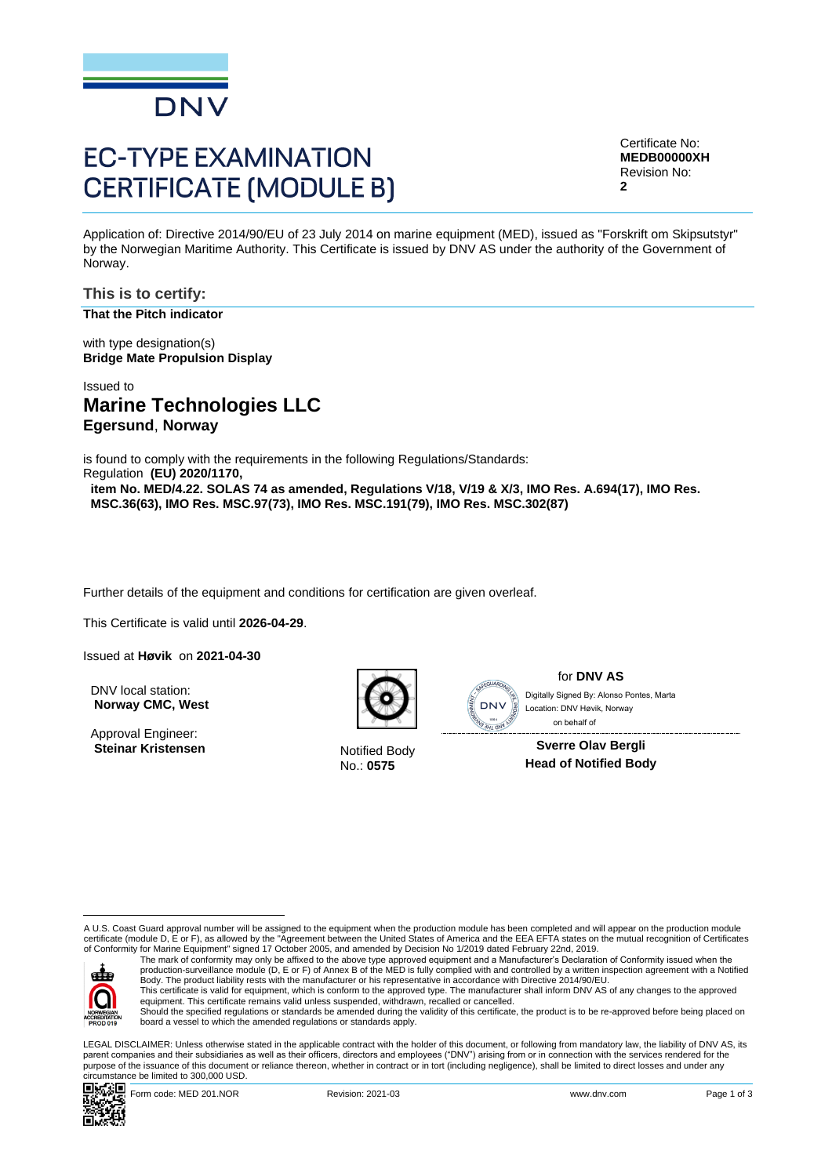

# **EC-TYPE EXAMINATION CERTIFICATE (MODULE B)**

Certificate No: **MEDB00000XH** Revision No: **2**

Application of: Directive 2014/90/EU of 23 July 2014 on marine equipment (MED), issued as "Forskrift om Skipsutstyr" by the Norwegian Maritime Authority. This Certificate is issued by DNV AS under the authority of the Government of Norway.

### **This is to certify: That the Pitch indicator**

with type designation(s) **Bridge Mate Propulsion Display**

# Issued to **Marine Technologies LLC Egersund**, **Norway**

is found to comply with the requirements in the following Regulations/Standards: Regulation **(EU) 2020/1170,** 

**item No. MED/4.22. SOLAS 74 as amended, Regulations V/18, V/19 & X/3, IMO Res. A.694(17), IMO Res. MSC.36(63), IMO Res. MSC.97(73), IMO Res. MSC.191(79), IMO Res. MSC.302(87)**

Further details of the equipment and conditions for certification are given overleaf.

This Certificate is valid until **2026-04-29**.

Issued at **Høvik** on **2021-04-30**

DNV local station: **Norway CMC, West**

Approval Engineer: **Steinar Kristensen** Notified Body



No.: **0575**



for **DNV AS** on behalf ofLocation: DNV Høvik, Norway

**Sverre Olav Bergli Head of Notified Body**

A U.S. Coast Guard approval number will be assigned to the equipment when the production module has been completed and will appear on the production module certificate (module D, E or F), as allowed by the "Agreement between the United States of America and the EEA EFTA states on the mutual recognition of Certificates<br>of Conformity for Marine Equipment" signed 17 October 2005



The mark of conformity may only be affixed to the above type approved equipment and a Manufacturer's Declaration of Conformity issued when the<br>production-surveillance module (D, E or F) of Annex B of the MED is fully compl Body. The product liability rests with the manufacturer or his representative in accordance with Directive 2014/90/EU.

This certificate is valid for equipment, which is conform to the approved type. The manufacturer shall inform DNV AS of any changes to the approved<br>equipment. This certificate remains valid unless suspended, withdrawn, rec

Should the specified regulations or standards be amended during the validity of this certificate, the product is to be re-approved before being placed on board a vessel to which the amended regulations or standards apply.

LEGAL DISCLAIMER: Unless otherwise stated in the applicable contract with the holder of this document, or following from mandatory law, the liability of DNV AS, its parent companies and their subsidiaries as well as their officers, directors and employees ("DNV") arising from or in connection with the services rendered for the purpose of the issuance of this document or reliance thereon, whether in contract or in tort (including negligence), shall be limited to direct losses and under any circumstance be limited to 300,000 USD. Control and the specification of the state of the state of the state of the discussion of the state of the state of the state of the state of the state of the state of the state of the state of the state of the state of th



Form code: MED 201.NOR **Revision: 2021-03** Revision: 2021-03 www.dnv.com Page 1 of 3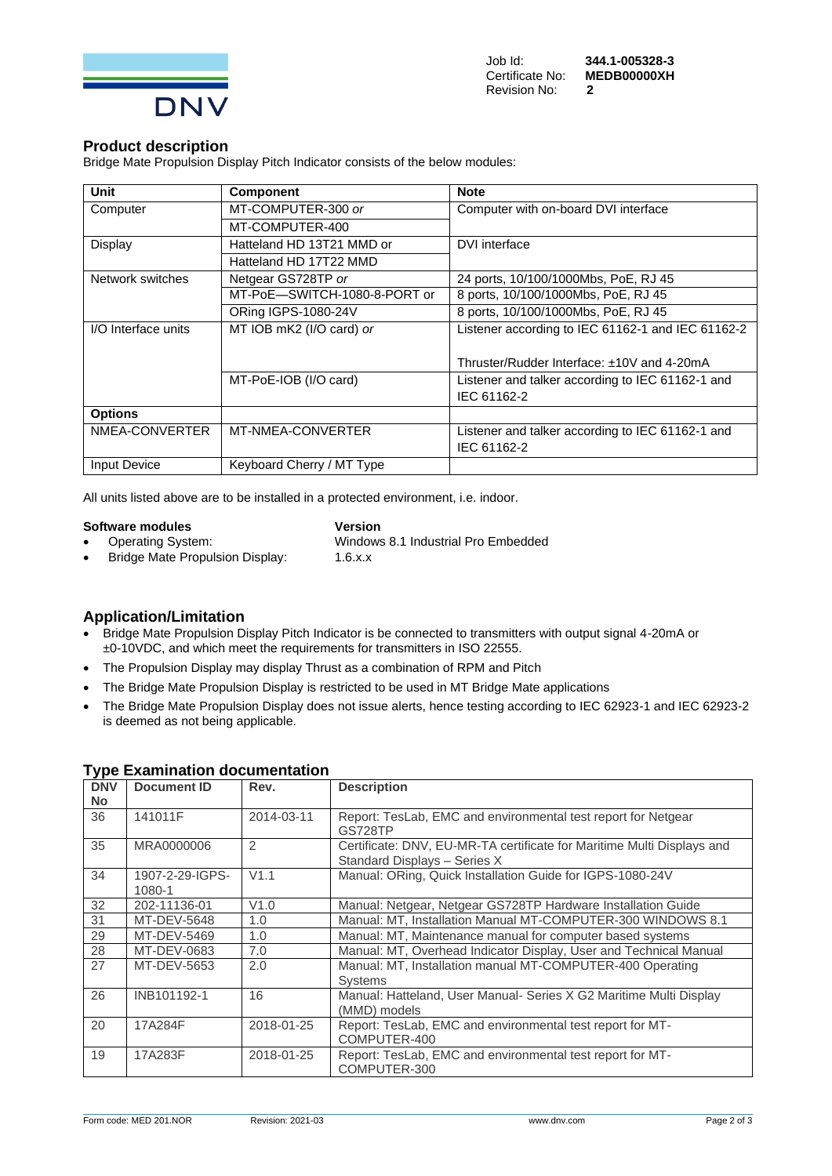

### **Product description**

Bridge Mate Propulsion Display Pitch Indicator consists of the below modules:

| Unit                | <b>Component</b>             | <b>Note</b>                                       |  |
|---------------------|------------------------------|---------------------------------------------------|--|
| Computer            | MT-COMPUTER-300 or           | Computer with on-board DVI interface              |  |
|                     | MT-COMPUTER-400              |                                                   |  |
| Display             | Hatteland HD 13T21 MMD or    | DVI interface                                     |  |
|                     | Hatteland HD 17T22 MMD       |                                                   |  |
| Network switches    | Netgear GS728TP or           | 24 ports, 10/100/1000Mbs, PoE, RJ 45              |  |
|                     | MT-PoE-SWITCH-1080-8-PORT or | 8 ports, 10/100/1000Mbs, PoE, RJ 45               |  |
|                     | ORing IGPS-1080-24V          | 8 ports, 10/100/1000Mbs, PoE, RJ 45               |  |
| I/O Interface units | MT IOB mK2 (I/O card) or     | Listener according to IEC 61162-1 and IEC 61162-2 |  |
|                     |                              |                                                   |  |
|                     |                              | Thruster/Rudder Interface: ±10V and 4-20mA        |  |
|                     | MT-PoE-IOB (I/O card)        | Listener and talker according to IEC 61162-1 and  |  |
|                     |                              | IEC 61162-2                                       |  |
| <b>Options</b>      |                              |                                                   |  |
| NMEA-CONVERTER      | MT-NMEA-CONVERTER            | Listener and talker according to IEC 61162-1 and  |  |
|                     |                              | IEC 61162-2                                       |  |
| <b>Input Device</b> | Keyboard Cherry / MT Type    |                                                   |  |

All units listed above are to be installed in a protected environment, i.e. indoor.

**Software modules Version**<br>
• **Operating System:** Windows • Bridge Mate Propulsion Display:

• Operating System: Windows 8.1 Industrial Pro Embedded<br>• Bridge Mate Propulsion Display: 1.6.x.x

- **Application/Limitation**
- Bridge Mate Propulsion Display Pitch Indicator is be connected to transmitters with output signal 4-20mA or ±0-10VDC, and which meet the requirements for transmitters in ISO 22555.
- The Propulsion Display may display Thrust as a combination of RPM and Pitch
- The Bridge Mate Propulsion Display is restricted to be used in MT Bridge Mate applications
- The Bridge Mate Propulsion Display does not issue alerts, hence testing according to IEC 62923-1 and IEC 62923-2 is deemed as not being applicable.

| <b>DNV</b><br><b>No</b> | Document ID               | Rev.           | <b>Description</b>                                                                                     |
|-------------------------|---------------------------|----------------|--------------------------------------------------------------------------------------------------------|
| 36                      | 141011F                   | 2014-03-11     | Report: TesLab, EMC and environmental test report for Netgear<br>GS728TP                               |
| 35                      | MRA0000006                | $\overline{2}$ | Certificate: DNV, EU-MR-TA certificate for Maritime Multi Displays and<br>Standard Displays - Series X |
| 34                      | 1907-2-29-IGPS-<br>1080-1 | V1.1           | Manual: ORing, Quick Installation Guide for IGPS-1080-24V                                              |
| 32                      | 202-11136-01              | V1.0           | Manual: Netgear, Netgear GS728TP Hardware Installation Guide                                           |
| 31                      | MT-DEV-5648               | 1.0            | Manual: MT, Installation Manual MT-COMPUTER-300 WINDOWS 8.1                                            |
| 29                      | MT-DEV-5469               | 1.0            | Manual: MT, Maintenance manual for computer based systems                                              |
| 28                      | MT-DEV-0683               | 7.0            | Manual: MT, Overhead Indicator Display, User and Technical Manual                                      |
| 27                      | MT-DEV-5653               | 2.0            | Manual: MT, Installation manual MT-COMPUTER-400 Operating<br><b>Systems</b>                            |
| 26                      | INB101192-1               | 16             | Manual: Hatteland, User Manual- Series X G2 Maritime Multi Display<br>(MMD) models                     |
| 20                      | 17A284F                   | 2018-01-25     | Report: TesLab, EMC and environmental test report for MT-<br>COMPUTER-400                              |
| 19                      | 17A283F                   | 2018-01-25     | Report: TesLab, EMC and environmental test report for MT-<br>COMPUTER-300                              |

### **Type Examination documentation**